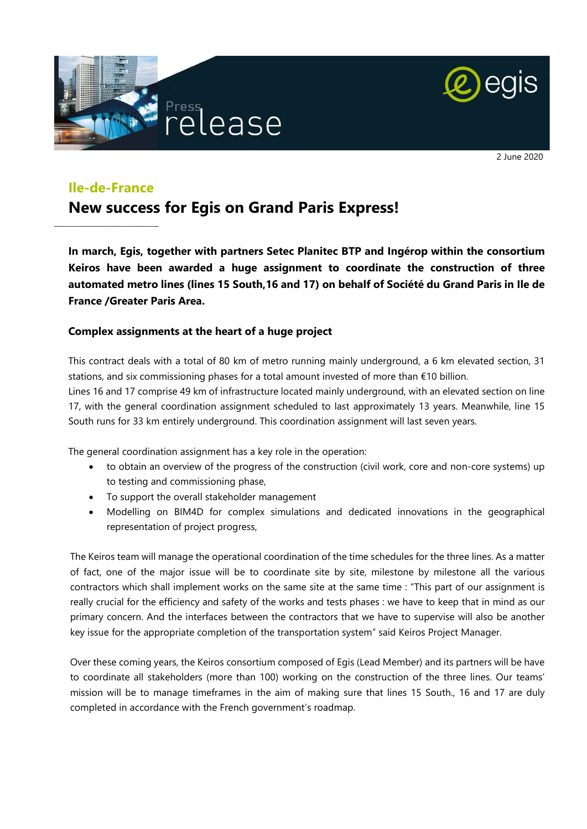



2 June 2020

## **Ile-de-France**

\_\_\_\_\_\_\_\_\_\_\_\_\_\_\_\_\_\_\_\_\_\_\_\_\_\_\_\_\_\_\_\_

# **New success for Egis on Grand Paris Express!**

**In march, Egis, together with partners Setec Planitec BTP and Ingérop within the consortium Keiros have been awarded a huge assignment to coordinate the construction of three automated metro lines (lines 15 South,16 and 17) on behalf of Société du Grand Paris in Ile de France /Greater Paris Area.** 

### **Complex assignments at the heart of a huge project**

This contract deals with a total of 80 km of metro running mainly underground, a 6 km elevated section, 31 stations, and six commissioning phases for a total amount invested of more than €10 billion.

Lines 16 and 17 comprise 49 km of infrastructure located mainly underground, with an elevated section on line 17, with the general coordination assignment scheduled to last approximately 13 years. Meanwhile, line 15 South runs for 33 km entirely underground. This coordination assignment will last seven years.

The general coordination assignment has a key role in the operation:

- to obtain an overview of the progress of the construction (civil work, core and non-core systems) up to testing and commissioning phase,
- To support the overall stakeholder management
- Modelling on BIM4D for complex simulations and dedicated innovations in the geographical representation of project progress,

The Keiros team will manage the operational coordination of the time schedules for the three lines. As a matter of fact, one of the major issue will be to coordinate site by site, milestone by milestone all the various contractors which shall implement works on the same site at the same time : "This part of our assignment is really crucial for the efficiency and safety of the works and tests phases : we have to keep that in mind as our primary concern. And the interfaces between the contractors that we have to supervise will also be another key issue for the appropriate completion of the transportation system" said Keiros Project Manager.

Over these coming years, the Keiros consortium composed of Egis (Lead Member) and its partners will be have to coordinate all stakeholders (more than 100) working on the construction of the three lines. Our teams' mission will be to manage timeframes in the aim of making sure that lines 15 South., 16 and 17 are duly completed in accordance with the French government's roadmap.